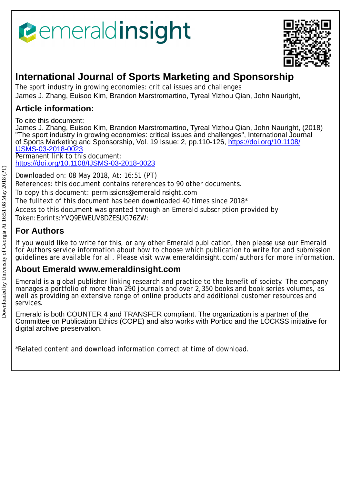# *<u><b>e*emeraldinsight</u>



## **International Journal of Sports Marketing and Sponsorship**

The sport industry in growing economies: critical issues and challenges James J. Zhang, Euisoo Kim, Brandon Marstromartino, Tyreal Yizhou Qian, John Nauright,

### **Article information:**

To cite this document:

James J. Zhang, Euisoo Kim, Brandon Marstromartino, Tyreal Yizhou Qian, John Nauright, (2018) "The sport industry in growing economies: critical issues and challenges", International Journal of Sports Marketing and Sponsorship, Vol. 19 Issue: 2, pp.110-126, [https://doi.org/10.1108/](https://doi.org/10.1108/IJSMS-03-2018-0023) [IJSMS-03-2018-0023](https://doi.org/10.1108/IJSMS-03-2018-0023) Permanent link to this document:

<https://doi.org/10.1108/IJSMS-03-2018-0023>

Downloaded on: 08 May 2018, At: 16:51 (PT) References: this document contains references to 90 other documents. To copy this document: permissions@emeraldinsight.com The fulltext of this document has been downloaded 40 times since 2018\* Access to this document was granted through an Emerald subscription provided by Token:Eprints:YVQ9EWEUV8DZESUG76ZW:

## **For Authors**

If you would like to write for this, or any other Emerald publication, then please use our Emerald for Authors service information about how to choose which publication to write for and submission guidelines are available for all. Please visit www.emeraldinsight.com/authors for more information.

## **About Emerald www.emeraldinsight.com**

Emerald is a global publisher linking research and practice to the benefit of society. The company manages a portfolio of more than 290 journals and over 2,350 books and book series volumes, as well as providing an extensive range of online products and additional customer resources and services.

Emerald is both COUNTER 4 and TRANSFER compliant. The organization is a partner of the Committee on Publication Ethics (COPE) and also works with Portico and the LOCKSS initiative for digital archive preservation.

\*Related content and download information correct at time of download.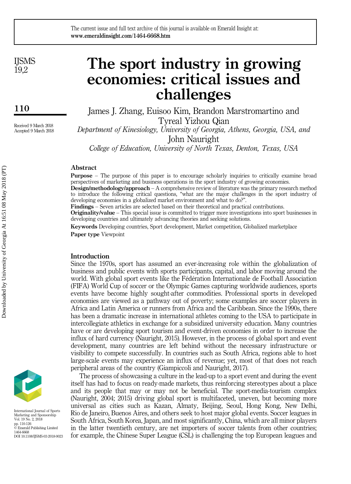**IISMS** 19,2

110

Received 9 March 2018 Accepted 9 March 2018

## The sport industry in growing economies: critical issues and challenges

James J. Zhang, Euisoo Kim, Brandon Marstromartino and Tyreal Yizhou Qian

Department of Kinesiology, University of Georgia, Athens, Georgia, USA, and John Nauright

College of Education, University of North Texas, Denton, Texas, USA

#### Abstract

Purpose – The purpose of this paper is to encourage scholarly inquiries to critically examine broad perspectives of marketing and business operations in the sport industry of growing economies.

Design/methodology/approach – A comprehensive review of literature was the primary research method to introduce the following critical questions, "what are the major challenges in the sport industry of developing economies in a globalized market environment and what to do?".

Findings – Seven articles are selected based on their theoretical and practical contributions.

Originality/value – This special issue is committed to trigger more investigations into sport businesses in developing countries and ultimately advancing theories and seeking solutions.

Keywords Developing countries, Sport development, Market competition, Globalized marketplace Paper type Viewpoint

#### Introduction

Since the 1970s, sport has assumed an ever-increasing role within the globalization of business and public events with sports participants, capital, and labor moving around the world. With global sport events like the Fédération Internationale de Football Association (FIFA) World Cup of soccer or the Olympic Games capturing worldwide audiences, sports events have become highly sought-after commodities. Professional sports in developed economies are viewed as a pathway out of poverty; some examples are soccer players in Africa and Latin America or runners from Africa and the Caribbean. Since the 1990s, there has been a dramatic increase in international athletes coming to the USA to participate in intercollegiate athletics in exchange for a subsidized university education. Many countries have or are developing sport tourism and event-driven economies in order to increase the influx of hard currency (Nauright, 2015). However, in the process of global sport and event development, many countries are left behind without the necessary infrastructure or visibility to compete successfully. In countries such as South Africa, regions able to host large-scale events may experience an influx of revenue; yet, most of that does not reach peripheral areas of the country (Giampiccoli and Nauright, 2017).

The process of showcasing a culture in the lead-up to a sport event and during the event itself has had to focus on ready-made markets, thus reinforcing stereotypes about a place and its people that may or may not be beneficial. The sport-media-tourism complex (Nauright, 2004; 2015) driving global sport is multifaceted, uneven, but becoming more universal as cities such as Kazan, Almaty, Beijing, Seoul, Hong Kong, New Delhi, Rio de Janeiro, Buenos Aires, and others seek to host major global events. Soccer leagues in South Africa, South Korea, Japan, and most significantly, China, which are all minor players in the latter twentieth century, are net importers of soccer talents from other countries; for example, the Chinese Super League (CSL) is challenging the top European leagues and



International Journal of Sports Marketing and Sponsorship Vol. 19 No. 2, 2018 pp. 110-126 © Emerald Publishing Limited 1464-6668 DOI 10.1108/IJSMS-03-2018-0023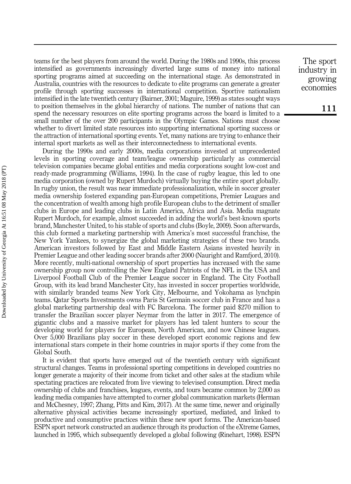teams for the best players from around the world. During the 1980s and 1990s, this process intensified as governments increasingly diverted large sums of money into national sporting programs aimed at succeeding on the international stage. As demonstrated in Australia, countries with the resources to dedicate to elite programs can generate a greater profile through sporting successes in international competition. Sportive nationalism intensified in the late twentieth century (Bairner, 2001; Maguire, 1999) as states sought ways to position themselves in the global hierarchy of nations. The number of nations that can spend the necessary resources on elite sporting programs across the board is limited to a small number of the over 200 participants in the Olympic Games. Nations must choose whether to divert limited state resources into supporting international sporting success or the attraction of international sporting events. Yet, many nations are trying to enhance their internal sport markets as well as their interconnectedness to international events.

During the 1990s and early 2000s, media corporations invested at unprecedented levels in sporting coverage and team/league ownership particularly as commercial television companies became global entities and media corporations sought low-cost and ready-made programming (Williams, 1994). In the case of rugby league, this led to one media corporation (owned by Rupert Murdoch) virtually buying the entire sport globally. In rugby union, the result was near immediate professionalization, while in soccer greater media ownership fostered expanding pan-European competitions, Premier Leagues and the concentration of wealth among high profile European clubs to the detriment of smaller clubs in Europe and leading clubs in Latin America, Africa and Asia. Media magnate Rupert Murdoch, for example, almost succeeded in adding the world's best-known sports brand, Manchester United, to his stable of sports and clubs (Boyle, 2009). Soon afterwards, this club formed a marketing partnership with America's most successful franchise, the New York Yankees, to synergize the global marketing strategies of these two brands. American investors followed by East and Middle Eastern Asians invested heavily in Premier League and other leading soccer brands after 2000 (Nauright and Ramfjord, 2010). More recently, multi-national ownership of sport properties has increased with the same ownership group now controlling the New England Patriots of the NFL in the USA and Liverpool Football Club of the Premier League soccer in England. The City Football Group, with its lead brand Manchester City, has invested in soccer properties worldwide, with similarly branded teams New York City, Melbourne, and Yokohama as lynchpin teams. Qatar Sports Investments owns Paris St Germain soccer club in France and has a global marketing partnership deal with FC Barcelona. The former paid \$270 million to transfer the Brazilian soccer player Neymar from the latter in 2017. The emergence of gigantic clubs and a massive market for players has led talent hunters to scour the developing world for players for European, North American, and now Chinese leagues. Over 5,000 Brazilians play soccer in these developed sport economic regions and few international stars compete in their home countries in major sports if they come from the Global South.

It is evident that sports have emerged out of the twentieth century with significant structural changes. Teams in professional sporting competitions in developed countries no longer generate a majority of their income from ticket and other sales at the stadium while spectating practices are relocated from live viewing to televised consumption. Direct media ownership of clubs and franchises, leagues, events, and tours became common by 2,000 as leading media companies have attempted to corner global communication markets (Herman and McChesney, 1997; Zhang, Pitts and Kim, 2017). At the same time, newer and originally alternative physical activities became increasingly sportized, mediated, and linked to productive and consumptive practices within these new sport forms. The American-based ESPN sport network constructed an audience through its production of the eXtreme Games, launched in 1995, which subsequently developed a global following (Rinehart, 1998). ESPN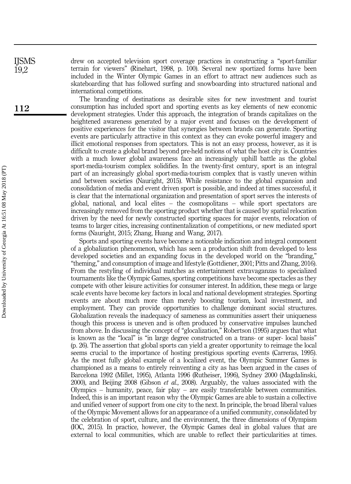drew on accepted television sport coverage practices in constructing a "sport-familiar terrain for viewers" (Rinehart, 1998, p. 100). Several new sportized forms have been included in the Winter Olympic Games in an effort to attract new audiences such as skateboarding that has followed surfing and snowboarding into structured national and international competitions.

The branding of destinations as desirable sites for new investment and tourist consumption has included sport and sporting events as key elements of new economic development strategies. Under this approach, the integration of brands capitalizes on the heightened awareness generated by a major event and focuses on the development of positive experiences for the visitor that synergies between brands can generate. Sporting events are particularly attractive in this context as they can evoke powerful imagery and illicit emotional responses from spectators. This is not an easy process, however, as it is difficult to create a global brand beyond pre-held notions of what the host city is. Countries with a much lower global awareness face an increasingly uphill battle as the global sport-media-tourism complex solidifies. In the twenty-first century, sport is an integral part of an increasingly global sport-media-tourism complex that is vastly uneven within and between societies (Nauright, 2015). While resistance to the global expansion and consolidation of media and event driven sport is possible, and indeed at times successful, it is clear that the international organization and presentation of sport serves the interests of global, national, and local elites – the cosmopolitans – while sport spectators are increasingly removed from the sporting product whether that is caused by spatial relocation driven by the need for newly constructed sporting spaces for major events, relocation of teams to larger cities, increasing continentalization of competitions, or new mediated sport forms (Nauright, 2015; Zhang, Huang and Wang, 2017).

Sports and sporting events have become a noticeable indication and integral component of a globalization phenomenon, which has seen a production shift from developed to less developed societies and an expanding focus in the developed world on the "branding," "theming," and consumption of image and lifestyle (Gottdiener, 2001; Pitts and Zhang, 2016). From the restyling of individual matches as entertainment extravaganzas to specialized tournaments like the Olympic Games, sporting competitions have become spectacles as they compete with other leisure activities for consumer interest. In addition, these mega or large scale events have become key factors in local and national development strategies. Sporting events are about much more than merely boosting tourism, local investment, and employment. They can provide opportunities to challenge dominant social structures. Globalization reveals the inadequacy of sameness as communities assert their uniqueness though this process is uneven and is often produced by conservative impulses launched from above. In discussing the concept of "glocalization," Robertson (1995) argues that what is known as the "local" is "in large degree constructed on a trans- or super- local basis" (p. 26). The assertion that global sports can yield a greater opportunity to reimage the local seems crucial to the importance of hosting prestigious sporting events (Carreras, 1995). As the most fully global example of a localized event, the Olympic Summer Games is championed as a means to entirely reinventing a city as has been argued in the cases of Barcelona 1992 (Millet, 1995), Atlanta 1996 (Rutheiser, 1996), Sydney 2000 (Magdalinski, 2000), and Beijing 2008 (Gibson *et al.*, 2008). Arguably, the values associated with the Olympics – humanity, peace, fair play – are easily transferable between communities. Indeed, this is an important reason why the Olympic Games are able to sustain a collective and unified veneer of support from one city to the next. In principle, the broad liberal values of the Olympic Movement allows for an appearance of a unified community, consolidated by the celebration of sport, culture, and the environment, the three dimensions of Olympism (IOC, 2015). In practice, however, the Olympic Games deal in global values that are external to local communities, which are unable to reflect their particularities at times.

IJSMS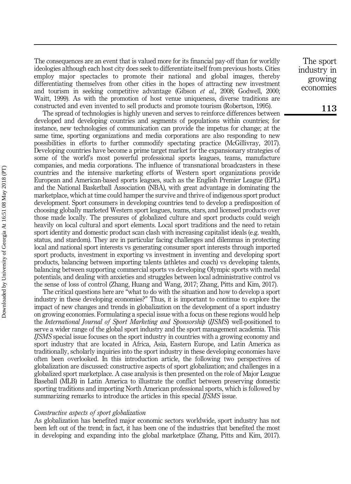The consequences are an event that is valued more for its financial pay-off than for worldly ideologies although each host city does seek to differentiate itself from previous hosts. Cities employ major spectacles to promote their national and global images, thereby differentiating themselves from other cities in the hopes of attracting new investment and tourism in seeking competitive advantage (Gibson et al., 2008; Godwell, 2000; Waitt, 1999). As with the promotion of host venue uniqueness, diverse traditions are constructed and even invented to sell products and promote tourism (Robertson, 1995).

The spread of technologies is highly uneven and serves to reinforce differences between developed and developing countries and segments of populations within countries; for instance, new technologies of communication can provide the impetus for change; at the same time, sporting organizations and media corporations are also responding to new possibilities in efforts to further commodify spectating practice (McGillivray, 2017). Developing countries have become a prime target market for the expansionary strategies of some of the world's most powerful professional sports leagues, teams, manufacture companies, and media corporations. The influence of transnational broadcasters in these countries and the intensive marketing efforts of Western sport organizations provide European and American-based sports leagues, such as the English Premier League (EPL) and the National Basketball Association (NBA), with great advantage in dominating the marketplace, which at time could hamper the survive and thrive of indigenous sport product development. Sport consumers in developing countries tend to develop a predisposition of choosing globally marketed Western sport leagues, teams, stars, and licensed products over those made locally. The pressures of globalized culture and sport products could weigh heavily on local cultural and sport elements. Local sport traditions and the need to retain sport identity and domestic product scan clash with increasing capitalist ideals (e.g. wealth, status, and stardom). They are in particular facing challenges and dilemmas in protecting local and national sport interests vs generating consumer sport interests through imported sport products, investment in exporting vs investment in inventing and developing sport products, balancing between importing talents (athletes and coach) vs developing talents, balancing between supporting commercial sports vs developing Olympic sports with medal potentials, and dealing with anxieties and struggles between local administrative control vs the sense of loss of control (Zhang, Huang and Wang, 2017; Zhang, Pitts and Kim, 2017).

The critical questions here are "what to do with the situation and how to develop a sport industry in these developing economies?" Thus, it is important to continue to explore the impact of new changes and trends in globalization on the development of a sport industry on growing economies. Formulating a special issue with a focus on these regions would help the International Journal of Sport Marketing and Sponsorship (IJSMS) well-positioned to serve a wider range of the global sport industry and the sport management academia. This IJSMS special issue focuses on the sport industry in countries with a growing economy and sport industry that are located in Africa, Asia, Eastern Europe, and Latin America as traditionally, scholarly inquiries into the sport industry in these developing economies have often been overlooked. In this introduction article, the following two perspectives of globalization are discussed: constructive aspects of sport globalization; and challenges in a globalized sport marketplace. A case analysis is then presented on the role of Major League Baseball (MLB) in Latin America to illustrate the conflict between preserving domestic sporting traditions and importing North American professional sports, which is followed by summarizing remarks to introduce the articles in this special *IJSMS* issue.

#### Constructive aspects of sport globalization

As globalization has benefited major economic sectors worldwide, sport industry has not been left out of the trend; in fact, it has been one of the industries that benefited the most in developing and expanding into the global marketplace (Zhang, Pitts and Kim, 2017).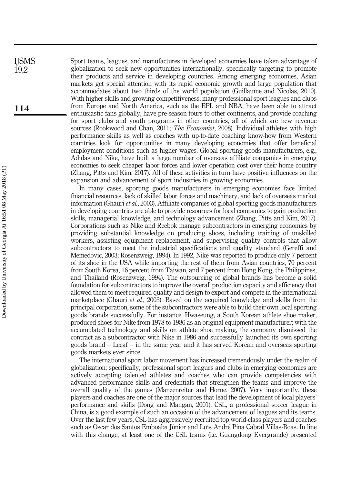Sport teams, leagues, and manufactures in developed economies have taken advantage of globalization to seek new opportunities internationally, specifically targeting to promote their products and service in developing countries. Among emerging economies, Asian markets get special attention with its rapid economic growth and large population that accommodates about two thirds of the world population (Guillaume and Nicolas, 2010). With higher skills and growing competitiveness, many professional sport leagues and clubs from Europe and North America, such as the EPL and NBA, have been able to attract enthusiastic fans globally, have pre-season tours to other continents, and provide coaching for sport clubs and youth programs in other countries, all of which are new revenue sources (Rookwood and Chan, 2011; *The Economist*, 2008). Individual athletes with high performance skills as well as coaches with up-to-date coaching know-how from Western countries look for opportunities in many developing economies that offer beneficial employment conditions such as higher wages. Global sporting goods manufacturers, e.g., Adidas and Nike, have built a large number of overseas affiliate companies in emerging economies to seek cheaper labor forces and lower operation cost over their home country (Zhang, Pitts and Kim, 2017). All of these activities in turn have positive influences on the expansion and advancement of sport industries in growing economies.

In many cases, sporting goods manufacturers in emerging economies face limited financial resources, lack of skilled labor forces and machinery, and lack of overseas market information (Ghauri et al., 2003). Affiliate companies of global sporting goods manufacturers in developing countries are able to provide resources for local companies to gain production skills, managerial knowledge, and technology advancement (Zhang, Pitts and Kim, 2017). Corporations such as Nike and Reebok manage subcontractors in emerging economies by providing substantial knowledge on producing shoes, including training of unskilled workers, assisting equipment replacement, and supervising quality controls that allow subcontractors to meet the industrial specifications and quality standard (Gereffi and Memedovic, 2003; Rosenzweig, 1994). In 1992, Nike was reported to produce only 7 percent of its shoe in the USA while importing the rest of them from Asian countries, 70 percent from South Korea, 16 percent from Taiwan, and 7 percent from Hong Kong, the Philippines, and Thailand (Rosenzweig, 1994). The outsourcing of global brands has become a solid foundation for subcontractors to improve the overall production capacity and efficiency that allowed them to meet required quality and design to export and compete in the international marketplace (Ghauri *et al.*, 2003). Based on the acquired knowledge and skills from the principal corporation, some of the subcontractors were able to build their own local sporting goods brands successfully. For instance, Hwaseung, a South Korean athlete shoe maker, produced shoes for Nike from 1978 to 1986 as an original equipment manufacturer; with the accumulated technology and skills on athlete shoe making, the company dismissed the contract as a subcontractor with Nike in 1986 and successfully launched its own sporting goods brand – Lecaf – in the same year and it has served Korean and overseas sporting goods markets ever since.

The international sport labor movement has increased tremendously under the realm of globalization; specifically, professional sport leagues and clubs in emerging economies are actively accepting talented athletes and coaches who can provide competencies with advanced performance skills and credentials that strengthen the teams and improve the overall quality of the games (Manzenreiter and Horne, 2007). Very importantly, these players and coaches are one of the major sources that lead the development of local players' performance and skills (Dong and Mangan, 2001). CSL, a professional soccer league in China, is a good example of such an occasion of the advancement of leagues and its teams. Over the last few years, CSL has aggressively recruited top world-class players and coaches such as Oscar dos Santos Emboaba Júnior and Luís André Pina Cabral Villas-Boas. In line with this change, at least one of the CSL teams (i.e. Guangdong Evergrande) presented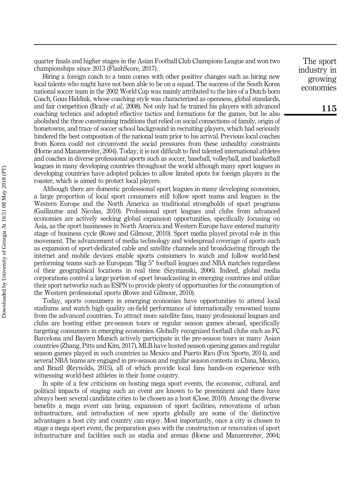quarter finals and higher stages in the Asian Football Club Champions League and won two championships since 2013 (FlashScore, 2017).

Hiring a foreign coach to a team comes with other positive changes such as hiring new local talents who might have not been able to be on a squad. The success of the South Korea national soccer team in the 2002 World Cup was mainly attributed to the hire of a Dutch-born Coach, Guus Hiddink, whose coaching style was characterized as openness, global standards, and fair competition (Brady *et al.*, 2008). Not only had he trained his players with advanced coaching technics and adopted effective tactics and formations for the games, but he also abolished the three constraining traditions that relied on social connections of family, origin of hometowns, and trace of soccer school background in recruiting players, which had seriously hindered the best composition of the national team prior to his arrival. Previous local coaches from Korea could not circumvent the social pressures from these unhealthy constraints (Horne and Manzenreiter, 2004). Today, it is not difficult to find talented international athletes and coaches in diverse professional sports such as soccer, baseball, volleyball, and basketball leagues in many developing countries throughout the world although many sport leagues in developing countries have adopted policies to allow limited spots for foreign players in the roaster, which is aimed to protect local players.

Although there are domestic professional sport leagues in many developing economies, a large proportion of local sport consumers still follow sport teams and leagues in the Western Europe and the North America as traditional strongholds of sport programs (Guillaume and Nicolas, 2010). Professional sport leagues and clubs from advanced economies are actively seeking global expansion opportunities, specifically focusing on Asia, as the sport businesses in North America and Western Europe have entered maturity stage of business cycle (Rowe and Gilmour, 2010). Sport media played pivotal role in this movement. The advancement of media technology and widespread coverage of sports such as expansion of sport-dedicated cable and satellite channels and broadcasting through the internet and mobile devices enable sports consumers to watch and follow world-best performing teams such as European "Big 5" football leagues and NBA matches regardless of their geographical locations in real time (Szymanski, 2006). Indeed, global media corporations control a large portion of sport broadcasting in emerging countries and utilize their sport networks such as ESPN to provide plenty of opportunities for the consumption of the Western professional sports (Rowe and Gilmour, 2010).

Today, sports consumers in emerging economies have opportunities to attend local stadiums and watch high quality on-field performance of internationally renowned teams from the advanced countries. To attract more satellite fans, many professional leagues and clubs are hosting either pre-season tours or regular season games abroad, specifically targeting consumers in emerging economies. Globally recognized football clubs such as FC Barcelona and Bayern Munich actively participate in the pre-season tours in many Asian countries (Zhang, Pitts and Kim, 2017), MLB have hosted season opening games and regular season games played in such countries as Mexico and Puerto Rico (Fox Sports, 2014), and several NBA teams are engaged in pre-season and regular season contests in China, Mexico, and Brazil (Reynolds, 2015), all of which provide local fans hands-on experience with witnessing world-best athletes in their home country.

In spite of a few criticisms on hosting mega sport events, the economic, cultural, and political impacts of staging such an event are known to be preeminent and there have always been several candidate cities to be chosen as a host (Close, 2010). Among the diverse benefits a mega event can bring, expansion of sport facilities, renovations of urban infrastructure, and introduction of new sports globally are some of the distinctive advantages a host city and country can enjoy. Most importantly, once a city is chosen to stage a mega sport event, the preparation goes with the construction or renovation of sport infrastructure and facilities such as stadia and arenas (Horne and Manzenreiter, 2004;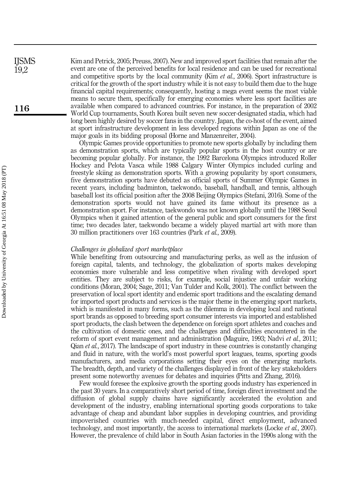Kim and Petrick, 2005; Preuss, 2007). New and improved sport facilities that remain after the event are one of the perceived benefits for local residence and can be used for recreational and competitive sports by the local community (Kim *et al.*, 2006). Sport infrastructure is critical for the growth of the sport industry while it is not easy to build them due to the huge financial capital requirements; consequently, hosting a mega event seems the most viable means to secure them, specifically for emerging economies where less sport facilities are available when compared to advanced countries. For instance, in the preparation of 2002 World Cup tournaments, South Korea built seven new soccer-designated stadia, which had long been highly desired by soccer fans in the country. Japan, the co-host of the event, aimed at sport infrastructure development in less developed regions within Japan as one of the major goals in its bidding proposal (Horne and Manzenreiter, 2004).

Olympic Games provide opportunities to promote new sports globally by including them as demonstration sports, which are typically popular sports in the host country or are becoming popular globally. For instance, the 1992 Barcelona Olympics introduced Roller Hockey and Pelota Vasca while 1988 Calgary Winter Olympics included curling and freestyle skiing as demonstration sports. With a growing popularity by sport consumers, five demonstration sports have debuted as official sports of Summer Olympic Games in recent years, including badminton, taekwondo, baseball, handball, and tennis, although baseball lost its official position after the 2008 Beijing Olympics (Stefani, 2016). Some of the demonstration sports would not have gained its fame without its presence as a demonstration sport. For instance, taekwondo was not known globally until the 1988 Seoul Olympics when it gained attention of the general public and sport consumers for the first time; two decades later, taekwondo became a widely played martial art with more than 30 million practitioners over 163 countries (Park et al., 2009).

#### Challenges in globalized sport marketplace

While benefiting from outsourcing and manufacturing perks, as well as the infusion of foreign capital, talents, and technology, the globalization of sports makes developing economies more vulnerable and less competitive when rivaling with developed sport entities. They are subject to risks, for example, social injustice and unfair working conditions (Moran, 2004; Sage, 2011; Van Tulder and Kolk, 2001). The conflict between the preservation of local sport identity and endemic sport traditions and the escalating demand for imported sport products and services is the major theme in the emerging sport markets, which is manifested in many forms, such as the dilemma in developing local and national sport brands as opposed to breeding sport consumer interests via imported and established sport products, the clash between the dependence on foreign sport athletes and coaches and the cultivation of domestic ones, and the challenges and difficulties encountered in the reform of sport event management and administration (Maguire, 1993; Nadvi *et al.*, 2011; Qian et al., 2017). The landscape of sport industry in these countries is constantly changing and fluid in nature, with the world's most powerful sport leagues, teams, sporting goods manufacturers, and media corporations setting their eyes on the emerging markets. The breadth, depth, and variety of the challenges displayed in front of the key stakeholders present some noteworthy avenues for debates and inquiries (Pitts and Zhang, 2016).

Few would foresee the explosive growth the sporting goods industry has experienced in the past 30 years. In a comparatively short period of time, foreign direct investment and the diffusion of global supply chains have significantly accelerated the evolution and development of the industry, enabling international sporting goods corporations to take advantage of cheap and abundant labor supplies in developing countries, and providing impoverished countries with much-needed capital, direct employment, advanced technology, and most importantly, the access to international markets (Locke et al., 2007). However, the prevalence of child labor in South Asian factories in the 1990s along with the

116

**IISMS** 19,2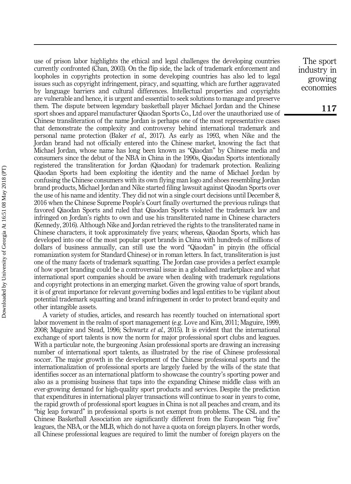use of prison labor highlights the ethical and legal challenges the developing countries currently confronted (Chan, 2003). On the flip side, the lack of trademark enforcement and loopholes in copyrights protection in some developing countries has also led to legal issues such as copyright infringement, piracy, and squatting, which are further aggravated by language barriers and cultural differences. Intellectual properties and copyrights are vulnerable and hence, it is urgent and essential to seek solutions to manage and preserve them. The dispute between legendary basketball player Michael Jordan and the Chinese sport shoes and apparel manufacturer Qiaodan Sports Co., Ltd over the unauthorized use of Chinese transliteration of the name Jordan is perhaps one of the most representative cases that demonstrate the complexity and controversy behind international trademark and personal name protection (Baker et al., 2017). As early as 1993, when Nike and the Jordan brand had not officially entered into the Chinese market, knowing the fact that Michael Jordan, whose name has long been known as "Qiaodan" by Chinese media and consumers since the debut of the NBA in China in the 1990s, Qiaodan Sports intentionally registered the transliteration for Jordan (Qiaodan) for trademark protection. Realizing Qiaodan Sports had been exploiting the identity and the name of Michael Jordan by confusing the Chinese consumers with its own flying man logo and shoes resembling Jordan brand products, Michael Jordan and Nike started filing lawsuit against Qiaodan Sports over the use of his name and identity. They did not win a single court decisions until December 8, 2016 when the Chinese Supreme People's Court finally overturned the previous rulings that favored Qiaodan Sports and ruled that Qiaodan Sports violated the trademark law and infringed on Jordan's rights to own and use his transliterated name in Chinese characters (Kennedy, 2016). Although Nike and Jordan retrieved the rights to the transliterated name in Chinese characters, it took approximately five years; whereas, Qiaodan Sports, which has developed into one of the most popular sport brands in China with hundreds of millions of dollars of business annually, can still use the word "Qiaodan" in pinyin (the official romanization system for Standard Chinese) or in roman letters. In fact, transliteration is just one of the many facets of trademark squatting. The Jordan case provides a perfect example of how sport branding could be a controversial issue in a globalized marketplace and what international sport companies should be aware when dealing with trademark regulations and copyright protections in an emerging market. Given the growing value of sport brands, it is of great importance for relevant governing bodies and legal entities to be vigilant about potential trademark squatting and brand infringement in order to protect brand equity and other intangible assets.

A variety of studies, articles, and research has recently touched on international sport labor movement in the realm of sport management (e.g. Love and Kim, 2011; Maguire, 1999, 2008; Maguire and Stead, 1996; Schwartz et al., 2015). It is evident that the international exchange of sport talents is now the norm for major professional sport clubs and leagues. With a particular note, the burgeoning Asian professional sports are drawing an increasing number of international sport talents, as illustrated by the rise of Chinese professional soccer. The major growth in the development of the Chinese professional sports and the internationalization of professional sports are largely fueled by the wills of the state that identifies soccer as an international platform to showcase the country's sporting power and also as a promising business that taps into the expanding Chinese middle class with an ever-growing demand for high-quality sport products and services. Despite the prediction that expenditures in international player transactions will continue to soar in years to come, the rapid growth of professional sport leagues in China is not all peaches and cream, and its "big leap forward" in professional sports is not exempt from problems. The CSL and the Chinese Basketball Association are significantly different from the European "big five" leagues, the NBA, or the MLB, which do not have a quota on foreign players. In other words, all Chinese professional leagues are required to limit the number of foreign players on the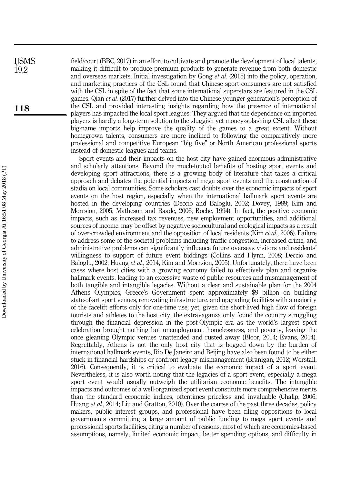field/court (BBC, 2017) in an effort to cultivate and promote the development of local talents, making it difficult to produce premium products to generate revenue from both domestic and overseas markets. Initial investigation by Gong et al. (2015) into the policy, operation, and marketing practices of the CSL found that Chinese sport consumers are not satisfied with the CSL in spite of the fact that some international superstars are featured in the CSL games. Qian et al. (2017) further delved into the Chinese younger generation's perception of the CSL and provided interesting insights regarding how the presence of international players has impacted the local sport leagues. They argued that the dependence on imported players is hardly a long-term solution to the sluggish yet money-splashing CSL albeit these big-name imports help improve the quality of the games to a great extent. Without homegrown talents, consumers are more inclined to following the comparatively more professional and competitive European "big five" or North American professional sports instead of domestic leagues and teams.

Sport events and their impacts on the host city have gained enormous administrative and scholarly attentions. Beyond the much-touted benefits of hosting sport events and developing sport attractions, there is a growing body of literature that takes a critical approach and debates the potential impacts of mega sport events and the construction of stadia on local communities. Some scholars cast doubts over the economic impacts of sport events on the host region, especially when the international hallmark sport events are hosted in the developing countries (Deccio and Baloglu, 2002; Dovey, 1989; Kim and Morrsion, 2005; Matheson and Baade, 2006; Roche, 1994). In fact, the positive economic impacts, such as increased tax revenues, new employment opportunities, and additional sources of income, may be offset by negative sociocultural and ecological impacts as a result of over-crowded environment and the opposition of local residents (Kim et al., 2006). Failure to address some of the societal problems including traffic congestion, increased crime, and administrative problems can significantly influence future overseas visitors and residents' willingness to support of future event biddings (Collins and Flynn, 2008; Deccio and Baloglu, 2002; Huang *et al.*, 2014; Kim and Morrsion, 2005). Unfortunately, there have been cases where host cities with a growing economy failed to effectively plan and organize hallmark events, leading to an excessive waste of public resources and mismanagement of both tangible and intangible legacies. Without a clear and sustainable plan for the 2004 Athens Olympics, Greece's Government spent approximately \$9 billion on building state-of-art sport venues, renovating infrastructure, and upgrading facilities with a majority of the facelift efforts only for one-time use; yet, given the short-lived high flow of foreign tourists and athletes to the host city, the extravaganza only found the country struggling through the financial depression in the post-Olympic era as the world's largest sport celebration brought nothing but unemployment, homelessness, and poverty, leaving the once gleaning Olympic venues unattended and rusted away (Bloor, 2014; Evans, 2014). Regrettably, Athens is not the only host city that is bogged down by the burden of international hallmark events, Rio De Janeiro and Beijing have also been found to be either stuck in financial hardships or confront legacy mismanagement (Branigan, 2012; Worstall, 2016). Consequently, it is critical to evaluate the economic impact of a sport event. Nevertheless, it is also worth noting that the legacies of a sport event, especially a mega sport event would usually outweigh the utilitarian economic benefits. The intangible impacts and outcomes of a well-organized sport event constitute more comprehensive merits than the standard economic indices, oftentimes priceless and invaluable (Chalip, 2006; Huang *et al.*, 2014; Liu and Gratton, 2010). Over the course of the past three decades, policy makers, public interest groups, and professional have been filing oppositions to local governments committing a large amount of public funding to mega sport events and professional sports facilities, citing a number of reasons, most of which are economics-based assumptions, namely, limited economic impact, better spending options, and difficulty in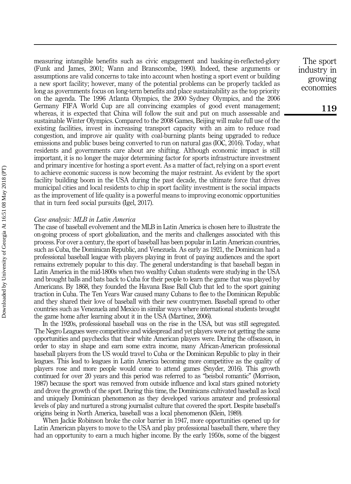measuring intangible benefits such as civic engagement and basking-in-reflected-glory (Funk and James, 2001; Wann and Branscombe, 1990). Indeed, these arguments or assumptions are valid concerns to take into account when hosting a sport event or building a new sport facility; however, many of the potential problems can be properly tackled as long as governments focus on long-term benefits and place sustainability as the top priority on the agenda. The 1996 Atlanta Olympics, the 2000 Sydney Olympics, and the 2006 Germany FIFA World Cup are all convincing examples of good event management; whereas, it is expected that China will follow the suit and put on much assessable and sustainable Winter Olympics. Compared to the 2008 Games, Beijing will make full use of the existing facilities, invest in increasing transport capacity with an aim to reduce road congestion, and improve air quality with coal-burning plants being upgraded to reduce emissions and public buses being converted to run on natural gas (IOC, 2016). Today, what residents and governments care about are shifting. Although economic impact is still important, it is no longer the major determining factor for sports infrastructure investment and primary incentive for hosting a sport event. As a matter of fact, relying on a sport event to achieve economic success is now becoming the major restraint. As evident by the sport facility building boom in the USA during the past decade, the ultimate force that drives municipal cities and local residents to chip in sport facility investment is the social impacts as the improvement of life quality is a powerful means to improving economic opportunities that in turn feed social pursuits (Igel, 2017).

#### Case analysis: MLB in Latin America

The case of baseball evolvement and the MLB in Latin America is chosen here to illustrate the on-going process of sport globalization, and the merits and challenges associated with this process. For over a century, the sport of baseball has been popular in Latin American countries, such as Cuba, the Dominican Republic, and Venezuela. As early as 1921, the Dominican had a professional baseball league with players playing in front of paying audiences and the sport remains extremely popular to this day. The general understanding is that baseball began in Latin America in the mid-1800s when two wealthy Cuban students were studying in the USA and brought balls and bats back to Cuba for their people to learn the game that was played by Americans. By 1868, they founded the Havana Base Ball Club that led to the sport gaining traction in Cuba. The Ten Years War caused many Cubans to flee to the Dominican Republic and they shared their love of baseball with their new countrymen. Baseball spread to other countries such as Venezuela and Mexico in similar ways where international students brought the game home after learning about it in the USA (Martinez, 2006).

In the 1920s, professional baseball was on the rise in the USA, but was still segregated. The Negro Leagues were competitive and widespread and yet players were not getting the same opportunities and paychecks that their white American players were. During the offseason, in order to stay in shape and earn some extra income, many African-American professional baseball players from the US would travel to Cuba or the Dominican Republic to play in their leagues. This lead to leagues in Latin America becoming more competitive as the quality of players rose and more people would come to attend games (Snyder, 2016). This growth continued for over 20 years and this period was referred to as "beisbol romantic" (Morrison, 1987) because the sport was removed from outside influence and local stars gained notoriety and drove the growth of the sport. During this time, the Dominicans cultivated baseball as local and uniquely Dominican phenomenon as they developed various amateur and professional levels of play and nurtured a strong journalist culture that covered the sport. Despite baseball's origins being in North America, baseball was a local phenomenon (Klein, 1989).

When Jackie Robinson broke the color barrier in 1947, more opportunities opened up for Latin American players to move to the USA and play professional baseball there, where they had an opportunity to earn a much higher income. By the early 1950s, some of the biggest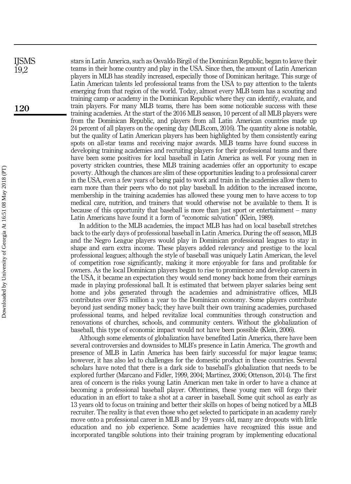stars in Latin America, such as Osvaldo Birgil of the Dominican Republic, began to leave their teams in their home country and play in the USA. Since then, the amount of Latin American players in MLB has steadily increased, especially those of Dominican heritage. This surge of Latin American talents led professional teams from the USA to pay attention to the talents emerging from that region of the world. Today, almost every MLB team has a scouting and training camp or academy in the Dominican Republic where they can identify, evaluate, and train players. For many MLB teams, there has been some noticeable success with these training academies. At the start of the 2016 MLB season, 10 percent of all MLB players were from the Dominican Republic, and players from all Latin American countries made up 24 percent of all players on the opening day (MLB.com, 2016). The quantity alone is notable, but the quality of Latin American players has been highlighted by them consistently earing spots on all-star teams and receiving major awards. MLB teams have found success in developing training academies and recruiting players for their professional teams and there have been some positives for local baseball in Latin America as well. For young men in poverty stricken countries, these MLB training academies offer an opportunity to escape poverty. Although the chances are slim of these opportunities leading to a professional career in the USA, even a few years of being paid to work and train in the academies allow them to earn more than their peers who do not play baseball. In addition to the increased income, membership in the training academies has allowed these young men to have access to top medical care, nutrition, and trainers that would otherwise not be available to them. It is because of this opportunity that baseball is more than just sport or entertainment – many Latin Americans have found it a form of "economic salvation" (Klein, 1989).

In addition to the MLB academies, the impact MLB has had on local baseball stretches back to the early days of professional baseball in Latin America. During the off season, MLB and the Negro League players would play in Dominican professional leagues to stay in shape and earn extra income. These players added relevancy and prestige to the local professional leagues; although the style of baseball was uniquely Latin American, the level of competition rose significantly, making it more enjoyable for fans and profitable for owners. As the local Dominican players began to rise to prominence and develop careers in the USA, it became an expectation they would send money back home from their earnings made in playing professional ball. It is estimated that between player salaries being sent home and jobs generated through the academies and administrative offices, MLB contributes over \$75 million a year to the Dominican economy. Some players contribute beyond just sending money back; they have built their own training academies, purchased professional teams, and helped revitalize local communities through construction and renovations of churches, schools, and community centers. Without the globalization of baseball, this type of economic impact would not have been possible (Klein, 2006).

Although some elements of globalization have benefited Latin America, there have been several controversies and downsides to MLB's presence in Latin America. The growth and presence of MLB in Latin America has been fairly successful for major league teams; however, it has also led to challenges for the domestic product in these countries. Several scholars have noted that there is a dark side to baseball's globalization that needs to be explored further (Marcano and Fidler, 1999, 2004; Martinez, 2006; Ottenson, 2014). The first area of concern is the risks young Latin American men take in order to have a chance at becoming a professional baseball player. Oftentimes, these young men will forgo their education in an effort to take a shot at a career in baseball. Some quit school as early as 13 years old to focus on training and better their skills on hopes of being noticed by a MLB recruiter. The reality is that even those who get selected to participate in an academy rarely move onto a professional career in MLB and by 19 years old, many are dropouts with little education and no job experience. Some academies have recognized this issue and incorporated tangible solutions into their training program by implementing educational

IJSMS 19,2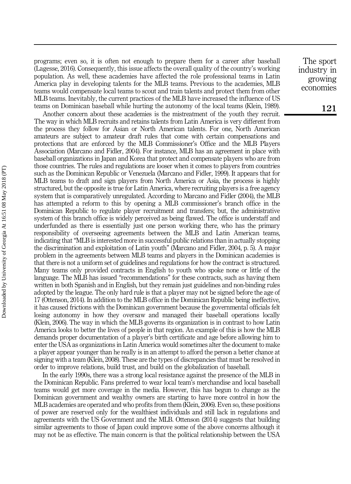programs; even so, it is often not enough to prepare them for a career after baseball (Lagesse, 2016). Consequently, this issue affects the overall quality of the country's working population. As well, these academies have affected the role professional teams in Latin America play in developing talents for the MLB teams. Previous to the academies, MLB teams would compensate local teams to scout and train talents and protect them from other MLB teams. Inevitably, the current practices of the MLB have increased the influence of US teams on Dominican baseball while hurting the autonomy of the local teams (Klein, 1989).

Another concern about these academies is the mistreatment of the youth they recruit. The way in which MLB recruits and retains talents from Latin America is very different from the process they follow for Asian or North American talents. For one, North American amateurs are subject to amateur draft rules that come with certain compensations and protections that are enforced by the MLB Commissioner's Office and the MLB Players Association (Marcano and Fidler, 2004). For instance, MLB has an agreement in place with baseball organizations in Japan and Korea that protect and compensate players who are from those countries. The rules and regulations are looser when it comes to players from countries such as the Dominican Republic or Venezuela (Marcano and Fidler, 1999). It appears that for MLB teams to draft and sign players from North America or Asia, the process is highly structured, but the opposite is true for Latin America, where recruiting players is a free agency system that is comparatively unregulated. According to Marcano and Fidler (2004), the MLB has attempted a reform to this by opening a MLB commissioner's branch office in the Dominican Republic to regulate player recruitment and transfers; but, the administrative system of this branch office is widely perceived as being flawed. The office is understaff and underfunded as there is essentially just one person working there, who has the primary responsibility of overseeing agreements between the MLB and Latin American teams, indicating that "MLB is interested more in successful public relations than in actually stopping the discrimination and exploitation of Latin youth" (Marcano and Fidler, 2004, p. 5). A major problem in the agreements between MLB teams and players in the Dominican academies is that there is not a uniform set of guidelines and regulations for how the contract is structured. Many teams only provided contracts in English to youth who spoke none or little of the language. The MLB has issued "recommendations" for these contracts, such as having them written in both Spanish and in English, but they remain just guidelines and non-binding rules adopted by the league. The only hard rule is that a player may not be signed before the age of 17 (Ottenson, 2014). In addition to the MLB office in the Dominican Republic being ineffective, it has caused frictions with the Dominican government because the governmental officials felt losing autonomy in how they oversaw and managed their baseball operations locally (Klein, 2006). The way in which the MLB governs its organization is in contrast to how Latin America looks to better the lives of people in that region. An example of this is how the MLB demands proper documentation of a player's birth certificate and age before allowing him to enter the USA as organizations in Latin America would sometimes alter the document to make a player appear younger than he really is in an attempt to afford the person a better chance at signing with a team (Klein, 2008). These are the types of discrepancies that must be resolved in order to improve relations, build trust, and build on the globalization of baseball.

In the early 1990s, there was a strong local resistance against the presence of the MLB in the Dominican Republic. Fans preferred to wear local team's merchandise and local baseball teams would get more coverage in the media. However, this has begun to change as the Dominican government and wealthy owners are starting to have more control in how the MLB academies are operated and who profits from them (Klein, 2006). Even so, these positions of power are reserved only for the wealthiest individuals and still lack in regulations and agreements with the US Government and the MLB. Ottenson (2014) suggests that building similar agreements to those of Japan could improve some of the above concerns although it may not be as effective. The main concern is that the political relationship between the USA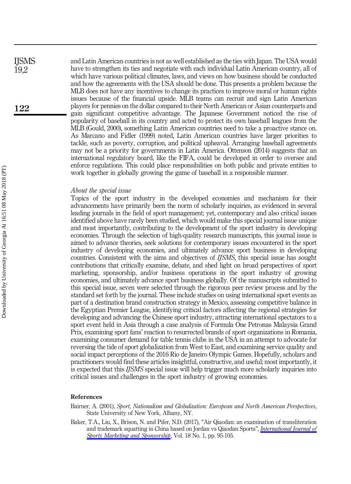and Latin American countries is not as well established as the ties with Japan. The USA would have to strengthen its ties and negotiate with each individual Latin American country, all of which have various political climates, laws, and views on how business should be conducted and how the agreements with the USA should be done. This presents a problem because the MLB does not have any incentives to change its practices to improve moral or human rights issues because of the financial upside. MLB teams can recruit and sign Latin American players for pennies on the dollar compared to their North American or Asian counterparts and gain significant competitive advantage. The Japanese Government noticed the rise of popularity of baseball in its country and acted to protect its own baseball leagues from the MLB (Gould, 2000), something Latin American countries need to take a proactive stance on. As Marcano and Fidler (1999) noted, Latin American countries have larger priorities to tackle, such as poverty, corruption, and political upheaval. Arranging baseball agreements may not be a priority for governments in Latin America. Ottenson (2014) suggests that an international regulatory board, like the FIFA, could be developed in order to oversee and enforce regulations. This could place responsibilities on both public and private entities to work together in globally growing the game of baseball in a responsible manner.

#### About the special issue

Topics of the sport industry in the developed economies and mechanism for their advancements have primarily been the norm of scholarly inquiries, as evidenced in several leading journals in the field of sport management; yet, contemporary and also critical issues identified above have rarely been studied, which would make this special journal issue unique and most importantly, contributing to the development of the sport industry in developing economies. Through the selection of high-quality research manuscripts, this journal issue is aimed to advance theories, seek solutions for contemporary issues encountered in the sport industry of developing economies, and ultimately advance sport business in developing countries. Consistent with the aims and objectives of IJSMS, this special issue has sought contributions that critically examine, debate, and shed light on broad perspectives of sport marketing, sponsorship, and/or business operations in the sport industry of growing economies, and ultimately advance sport business globally. Of the manuscripts submitted to this special issue, seven were selected through the rigorous peer review process and by the standard set forth by the journal. These include studies on using international sport events as part of a destination brand construction strategy in Mexico, assessing competitive balance in the Egyptian Premier League, identifying critical factors affecting the regional strategies for developing and advancing the Chinese sport industry, attracting international spectators to a sport event held in Asia through a case analysis of Formula One Petronas Malaysia Grand Prix, examining sport fans' reaction to resurrected brands of sport organizations in Romania, examining consumer demand for table tennis clubs in the USA in an attempt to advocate for reversing the tide of sport globalization from West to East, and examining service quality and social impact perceptions of the 2016 Rio de Janeiro Olympic Games. Hopefully, scholars and practitioners would find these articles insightful, constructive, and useful; most importantly, it is expected that this IJSMS special issue will help trigger much more scholarly inquiries into critical issues and challenges in the sport industry of growing economies.

#### References

Bairner, A. (2001), Sport, Nationalism and Globalization: European and North American Perspectives, State University of New York, Albany, NY.

Baker, T.A., Liu, X., Brison, N. and Pifer, N.D. (2017), "Air Qiaodan: an examination of transliteration and trademark squatting in China based on Jordan vs Qiaodan Sports", *[International Journal of](https://www.emeraldinsight.com/action/showLinks?doi=10.1108%2FIJSMS-03-2018-0023&system=10.1108%2FIJSMS-05-2016-0009&citationId=p_2)* [Sports Marketing and Sponsorship](https://www.emeraldinsight.com/action/showLinks?doi=10.1108%2FIJSMS-03-2018-0023&system=10.1108%2FIJSMS-05-2016-0009&citationId=p_2), Vol. 18 No. 1, pp. 95-105.

IJSMS 19,2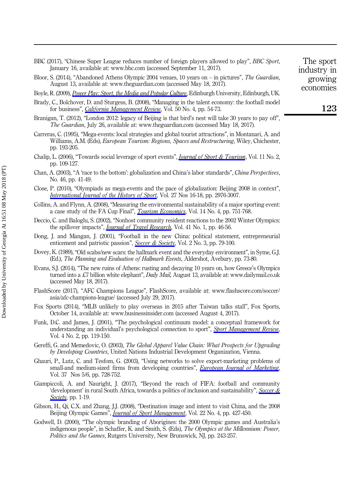BBC (2017), "Chinese Super League reduces number of foreign players allowed to play", BBC Sport, January 16, available at:<www.bbc.com> (accessed September 11, 2017). Bloor, S. (2014), "Abandoned Athens Olympic 2004 venues, 10 years on – in pictures", The Guardian, August 13, available at:<www.theguardian.com> (accessed May 18, 2017).

Boyle, R. (2009), [Power Play: Sport, the Media and Popular Culture](https://www.emeraldinsight.com/action/showLinks?doi=10.1108%2FIJSMS-03-2018-0023&crossref=10.3366%2Fedinburgh%2F9780748635924.001.0001&citationId=p_5), Edinburgh University, Edinburgh, UK.

- Brady, C., Bolchover, D. and Sturgess, B. (2008), "Managing in the talent economy: the football model for business", *[California Management Review](https://www.emeraldinsight.com/action/showLinks?doi=10.1108%2FIJSMS-03-2018-0023&crossref=10.2307%2F41166456&citationId=p_6)*, Vol. 50 No. 4, pp. 54-73.
- Branigan, T. (2012), "London 2012: legacy of Beijing is that bird's nest will take 30 years to pay off", The Guardian, July 26, available at:<www.theguardian.com> (accessed May 18, 2017).
- Carreras, C. (1995), "Mega-events: local strategies and global tourist attractions", in Montanari, A. and Williams, A.M. (Eds), European Tourism: Regions, Spaces and Restructuring, Wiley, Chichester, pp. 193-205.
- Chalip, L. (2006), "Towards social leverage of sport events", *[Journal of Sport & Tourism](https://www.emeraldinsight.com/action/showLinks?doi=10.1108%2FIJSMS-03-2018-0023&crossref=10.1080%2F14775080601155126&citationId=p_9)*, Vol. 11 No. 2, pp. 109-127.
- Chan, A. (2003), "A 'race to the bottom': globalization and China's labor standards", China Perspectives, No. 46, pp. 41-49.
- Close, P. (2010), "Olympiads as mega-events and the pace of globalization: Beijing 2008 in context", [International Journal of the History of Sport](https://www.emeraldinsight.com/action/showLinks?doi=10.1108%2FIJSMS-03-2018-0023&crossref=10.1080%2F09523367.2010.508303&citationId=p_11), Vol. 27 Nos 16-18, pp. 2976-3007.
- Collins, A. and Flynn, A. (2008), "Measuring the environmental sustainability of a major sporting event: a case study of the FA Cup Final", *[Tourism Economics](https://www.emeraldinsight.com/action/showLinks?doi=10.1108%2FIJSMS-03-2018-0023&crossref=10.5367%2F000000008786440120&citationId=p_12)*, Vol. 14 No. 4, pp. 751-768.
- Deccio, C. and Baloglu, S. (2002), "Nonhost community resident reactions to the 2002 Winter Olympics: the spillover impacts", *[Journal of Travel Research](https://www.emeraldinsight.com/action/showLinks?doi=10.1108%2FIJSMS-03-2018-0023&crossref=10.1177%2F0047287502041001006&citationId=p_13)*, Vol. 41 No. 1, pp. 46-56.
- Dong, J. and Mangan, J. (2001), "Football in the new China: political statement, entrepreneurial enticement and patriotic passion", [Soccer & Society](https://www.emeraldinsight.com/action/showLinks?doi=10.1108%2FIJSMS-03-2018-0023&crossref=10.1080%2F714004853&citationId=p_14), Vol. 2 No. 3, pp. 79-100.
- Dovey, K. (1989), "Old scabs/new scars: the hallmark event and the everyday environment", in Syme, G.J. (Ed.), The Planning and Evaluation of Hallmark Events, Aldershot, Avebury, pp. 73-80.
- Evans, S.J. (2014), "The new ruins of Athens: rusting and decaying 10 years on, how Greece's Olympics turned into a £7 billion white elephant", Daily Mail, August 13, available at:<www.dailymail.co.uk> (accessed May 18, 2017).
- FlashScore (2017), "AFC Champions League", FlashScore, available at: [www.flashscore.com/soccer/](www.flashscore.com/soccer/asia/afc-champions-league/) [asia/afc-champions-league/](www.flashscore.com/soccer/asia/afc-champions-league/) (accessed July 29, 2017).
- Fox Sports (2014), "MLB unlikely to play overseas in 2015 after Taiwan talks stall", Fox Sports, October 14, available at:<www.businessinsider.com> (accessed August 4, 2017).
- Funk, D.C. and James, J. (2001), "The psychological continuum model: a conceptual framework for understanding an individual's psychological connection to sport", [Sport Management Review](https://www.emeraldinsight.com/action/showLinks?doi=10.1108%2FIJSMS-03-2018-0023&crossref=10.1016%2FS1441-3523%2801%2970072-1&citationId=p_19), Vol. 4 No. 2, pp. 119-150.
- Gereffi, G. and Memedovic, O. (2003), The Global Apparel Value Chain: What Prospects for Upgrading by Developing Countries, United Nations Industrial Development Organization, Vienna.
- Ghauri, P., Lutz, C. and Tesfom, G. (2003), "Using networks to solve export-marketing problems of small-and medium-sized firms from developing countries", *[European Journal of Marketing](https://www.emeraldinsight.com/action/showLinks?doi=10.1108%2FIJSMS-03-2018-0023&system=10.1108%2F03090560310465125&citationId=p_21)*, Vol. 37 Nos 5/6, pp. 728-752.
- Giampiccoli, A. and Nauright, J. (2017), "Beyond the reach of FIFA: football and community 'development' in rural South Africa, towards a politics of inclusion and sustainability", [Soccer &](https://www.emeraldinsight.com/action/showLinks?doi=10.1108%2FIJSMS-03-2018-0023&crossref=10.1080%2F14660970.2017.1302937&citationId=p_22) [Society](https://www.emeraldinsight.com/action/showLinks?doi=10.1108%2FIJSMS-03-2018-0023&crossref=10.1080%2F14660970.2017.1302937&citationId=p_22), pp. 1-19.
- Gibson, H., Qi, C.X. and Zhang, J.J. (2008), "Destination image and intent to visit China, and the 2008 Beijing Olympic Games", *[Journal of Sport Management](https://www.emeraldinsight.com/action/showLinks?doi=10.1108%2FIJSMS-03-2018-0023&crossref=10.1123%2Fjsm.22.4.427&citationId=p_23)*, Vol. 22 No. 4, pp. 427-450.
- Godwell, D. (2000), "The olympic branding of Aborigines: the 2000 Olympic games and Australia's indigenous people", in Schaffer, K. and Smith, S. (Eds), The Olympics at the Millennium: Power, Politics and the Games, Rutgers University, New Brunswick, NJ, pp. 243-257.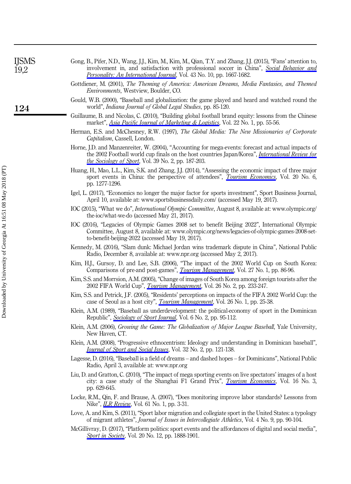| <b>IJSMS</b><br>19,2 | Gong, B., Pifer, N.D., Wang, J.J., Kim, M., Kim, M., Qian, T.Y. and Zhang, J.J. (2015), "Fans' attention to,<br>involvement in, and satisfaction with professional soccer in China", Social Behavior and<br><i>Personality: An International Journal</i> , Vol. 43 No. 10, pp. 1667-1682. |
|----------------------|-------------------------------------------------------------------------------------------------------------------------------------------------------------------------------------------------------------------------------------------------------------------------------------------|
|                      | Gottdiener, M. (2001), The Theming of America: American Dreams, Media Fantasies, and Themed<br><i>Environments</i> , Westview, Boulder, CO.                                                                                                                                               |
| 124                  | Gould, W.B. (2000), "Baseball and globalization: the game played and heard and watched round the<br>world", <i>Indiana Journal of Global Legal Studies</i> , pp. 85-120.                                                                                                                  |
|                      | Guillaume, B. and Nicolas, C. (2010), "Building global football brand equity: lessons from the Chinese<br>market", Asia Pacific Journal of Marketing & Logistics, Vol. 22 No. 1, pp. 55-56.                                                                                               |
|                      | Herman, E.S. and McChesney, R.W. (1997), The Global Media: The New Missionaries of Corporate<br>Capitalism, Cassell, London.                                                                                                                                                              |
|                      | Horne, J.D. and Manzenreiter, W. (2004), "Accounting for mega-events: forecast and actual impacts of<br>the 2002 Football world cup finals on the host countries Japan/Korea", <i>International Review for</i><br><i>the Sociology of Sport</i> , Vol. 39 No. 2, pp. 187-203.             |
|                      | Huang, H., Mao, L.L., Kim, S.K. and Zhang, J.J. (2014), "Assessing the economic impact of three major<br>sport events in China: the perspective of attendees", <i>Tourism Economics</i> , Vol. 20 No. 6,<br>pp. 1277-1296.                                                                |
|                      | Igel, L. (2017), "Economics no longer the major factor for sports investment", Sport Business Journal,<br>April 10, available at: www.sportsbusinessdaily.com/ (accessed May 19, 2017).                                                                                                   |
|                      | IOC (2015), "What we do", <i>International Olympic Committee</i> , August 8, available at: www.olympic.org/<br>the-ioc/what-we-do (accessed May 21, 2017).                                                                                                                                |
|                      | IOC (2016), "Legacies of Olympic Games 2008 set to benefit Beijing 2022", International Olympic<br>Committee, August 8, available at: www.olympic.org/news/legacies-of-olympic-games-2008-set-<br>to-benefit-beijing-2022 (accessed May 19, 2017).                                        |
|                      | Kennedy, M. (2016), "Slam dunk: Michael Jordan wins trademark dispute in China", National Public<br>Radio, December 8, available at: www.npr.org (accessed May 2, 2017).                                                                                                                  |
|                      | Kim, H.J., Gursoy, D. and Lee, S.B. (2006), "The impact of the 2002 World Cup on South Korea:<br>Comparisons of pre-and post-games", <i>Tourism Management</i> , Vol. 27 No. 1, pp. 86-96.                                                                                                |
|                      | Kim, S.S. and Morrsion, A.M. (2005), "Change of images of South Korea among foreign tourists after the<br>2002 FIFA World Cup", <i>Tourism Management</i> , Vol. 26 No. 2, pp. 233-247.                                                                                                   |
|                      | Kim, S.S. and Petrick, J.F. (2005), "Residents' perceptions on impacts of the FIFA 2002 World Cup: the<br>case of Seoul as a host city", <i>Tourism Management</i> , Vol. 26 No. 1, pp. 25-38.                                                                                            |
|                      | Klein, A.M. (1989), "Baseball as underdevelopment: the political economy of sport in the Dominican<br>Republic", <i>Sociology of Sport Journal</i> , Vol. 6 No. 2, pp. 95-112.                                                                                                            |
|                      | Klein, A.M. (2006), Growing the Game: The Globalization of Major League Baseball, Yale University,<br>New Haven, CT.                                                                                                                                                                      |
|                      | Klein, A.M. (2008), "Progressive ethnocentrism: Ideology and understanding in Dominican baseball",<br>Journal of Sport and Social Issues, Vol. 32 No. 2, pp. 121-138.                                                                                                                     |
|                      | Lagesse, D. (2016), "Baseball is a field of dreams – and dashed hopes – for Dominicans", National Public<br>Radio, April 3, available at: www.npr.org                                                                                                                                     |
|                      | Liu, D. and Gratton, C. (2010), "The impact of mega sporting events on live spectators' images of a host<br>city: a case study of the Shanghai F1 Grand Prix", <i>Tourism Economics</i> , Vol. 16 No. 3,<br>pp. 629-645.                                                                  |
|                      | Locke, R.M., Qin, F. and Brause, A. (2007), "Does monitoring improve labor standards? Lessons from<br>Nike", <i>ILR Review</i> , Vol. 61 No. 1, pp. 3-31.                                                                                                                                 |
|                      | Love, A. and Kim, S. (2011), "Sport labor migration and collegiate sport in the United States: a typology<br>of migrant athletes", Journal of Issues in Intercollegiate Athletics, Vol. 4 No. 9, pp. 90-104.                                                                              |

McGillivray, D. (2017), "Platform politics: sport events and the affordances of digital and social media", [Sport in Society](https://www.emeraldinsight.com/action/showLinks?doi=10.1108%2FIJSMS-03-2018-0023&crossref=10.1080%2F17430437.2017.1232392&citationId=p_46), Vol. 20 No. 12, pp. 1888-1901.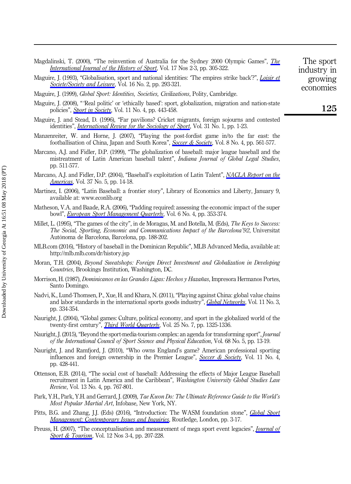| Magdalinski, T. (2000), "The reinvention of Australia for the Sydney 2000 Olympic Games", <i>The</i> | The   |
|------------------------------------------------------------------------------------------------------|-------|
| <i>International Journal of the History of Sport, Vol. 17 Nos 2-3, pp. 305-322.</i>                  | indus |
| $\cdots$ $\cdots$ $\cdots$                                                                           |       |

Maguire, J. (1993), "Globalisation, sport and national identities: 'The empires strike back'?", *[Loisir et](https://www.emeraldinsight.com/action/showLinks?doi=10.1108%2FIJSMS-03-2018-0023&crossref=10.1080%2F07053436.1993.10715455&citationId=p_48)* [Societe/Society and Leisure](https://www.emeraldinsight.com/action/showLinks?doi=10.1108%2FIJSMS-03-2018-0023&crossref=10.1080%2F07053436.1993.10715455&citationId=p_48), Vol. 16 No. 2, pp. 293-321.

Maguire, J. (1999), *Global Sport: Identities, Societies, Civilizations, Polity, Cambridge.* 

- Maguire, J. (2008), " 'Real politic' or 'ethically based': sport, globalization, migration and nation-state policies", *[Sport in Society](https://www.emeraldinsight.com/action/showLinks?doi=10.1108%2FIJSMS-03-2018-0023&crossref=10.1080%2F17430430802019375&citationId=p_50)*, Vol. 11 No. 4, pp. 443-458.
- Maguire, J. and Stead, D. (1996), "Far pavilions? Cricket migrants, foreign sojourns and contested identities", *[International Review for the Sociology of Sport](https://www.emeraldinsight.com/action/showLinks?doi=10.1108%2FIJSMS-03-2018-0023&crossref=10.1177%2F101269029603100101&citationId=p_51)*, Vol. 31 No. 1, pp. 1-23.
- Manzenreiter, W. and Horne, J. (2007), "Playing the post‐fordist game in/to the far east: the footballisation of China, Japan and South Korea", [Soccer & Society](https://www.emeraldinsight.com/action/showLinks?doi=10.1108%2FIJSMS-03-2018-0023&crossref=10.1080%2F14660970701440899&citationId=p_52), Vol. 8 No. 4, pp. 561-577.
- Marcano, A.J. and Fidler, D.P. (1999), "The globalization of baseball: major league baseball and the mistreatment of Latin American baseball talent", Indiana Journal of Global Legal Studies, pp. 511-577.
- Marcano, A.J. and Fidler, D.P. (2004), "Baseball's exploitation of Latin Talent", [NACLA Report on the](https://www.emeraldinsight.com/action/showLinks?doi=10.1108%2FIJSMS-03-2018-0023&crossref=10.1080%2F10714839.2004.11722415&citationId=p_54) *[Americas](https://www.emeraldinsight.com/action/showLinks?doi=10.1108%2FIJSMS-03-2018-0023&crossref=10.1080%2F10714839.2004.11722415&citationId=p_54)*, Vol. 37 No. 5, pp. 14-18.
- Martinez, I. (2006), "Latin Baseball: a frontier story", Library of Economics and Liberty, January 9, available at:<www.econlib.org>
- Matheson, V.A. and Baade, R.A. (2006), "Padding required: assessing the economic impact of the super bowl", *[European Sport Management Quarterly](https://www.emeraldinsight.com/action/showLinks?doi=10.1108%2FIJSMS-03-2018-0023&crossref=10.1080%2F16184740601154490&citationId=p_56)*, Vol. 6 No. 4, pp. 353-374.
- Millet, L. (1995), "The games of the city", in de Moragas, M. and Botella, M. (Eds), The Keys to Success: The Social, Sporting, Economic and Communications Impact of the Barcelona'92, Universitat Autònoma de Barcelona, Barcelona, pp. 188-202.
- MLB.com (2016), "History of baseball in the Dominican Republic", MLB Advanced Media, available at: <http://mlb.mlb.com/dr/history.jsp>
- Moran, T.H. (2004), Beyond Sweatshops: Foreign Direct Investment and Globalization in Developing Countries, Brookings Institution, Washington, DC.
- Morrison, H. (1987), *Dominicanos en las Grandes Ligas: Hechos y Hazañas*, Impresora Hermanos Portes, Santo Domingo.
- Nadvi, K., Lund‐Thomsen, P., Xue, H. and Khara, N. (2011), "Playing against China: global value chains and labor standards in the international sports goods industry", *[Global Networks](https://www.emeraldinsight.com/action/showLinks?doi=10.1108%2FIJSMS-03-2018-0023&crossref=10.1111%2Fj.1471-0374.2011.00329.x&citationId=p_61)*, Vol. 11 No. 3, pp. 334-354.
- Nauright, J. (2004), "Global games: Culture, political economy, and sport in the globalized world of the twenty-first century", *[Third World Quarterly](https://www.emeraldinsight.com/action/showLinks?doi=10.1108%2FIJSMS-03-2018-0023&crossref=10.1080%2F014365904200281302&citationId=p_62)*, Vol. 25 No. 7, pp. 1325-1336.
- Nauright, J. (2015), "Beyond the sport-media-tourism complex: an agenda for transforming sport", Journal of the International Council of Sport Science and Physical Education, Vol. 68 No. 5, pp. 13-19.
- Nauright, J. and Ramfjord, J. (2010), "Who owns England's game? American professional sporting influences and foreign ownership in the Premier League", [Soccer & Society](https://www.emeraldinsight.com/action/showLinks?doi=10.1108%2FIJSMS-03-2018-0023&crossref=10.1080%2F14660971003780321&citationId=p_64), Vol. 11 No. 4, pp. 428-441.
- Ottenson, E.B. (2014), "The social cost of baseball: Addressing the effects of Major League Baseball recruitment in Latin America and the Caribbean", Washington University Global Studies Law Review, Vol. 13 No. 4, pp. 767-801.
- Park, Y.H., Park, Y.H. and Gerrard, J. (2009), Tae Kwon Do: The Ultimate Reference Guide to the World's Most Popular Martial Art, Infobase, New York, NY.
- Pitts, B.G. and Zhang, J.J. (Eds) (2016), "Introduction: The WASM foundation stone", *[Global Sport](https://www.emeraldinsight.com/action/showLinks?doi=10.1108%2FIJSMS-03-2018-0023&crossref=10.1007%2F978-1-4842-2493-9_1&citationId=p_67)* [Management: Contemporary Issues and Inquiries](https://www.emeraldinsight.com/action/showLinks?doi=10.1108%2FIJSMS-03-2018-0023&crossref=10.1007%2F978-1-4842-2493-9_1&citationId=p_67), Routledge, London, pp. 3-17.
- Preuss, H. (2007), "The conceptualisation and measurement of mega sport event legacies", *[Journal of](https://www.emeraldinsight.com/action/showLinks?doi=10.1108%2FIJSMS-03-2018-0023&crossref=10.1080%2F14775080701736957&citationId=p_68)* [Sport & Tourism](https://www.emeraldinsight.com/action/showLinks?doi=10.1108%2FIJSMS-03-2018-0023&crossref=10.1080%2F14775080701736957&citationId=p_68), Vol. 12 Nos 3-4, pp. 207-228.

sport stry in growing economies

125